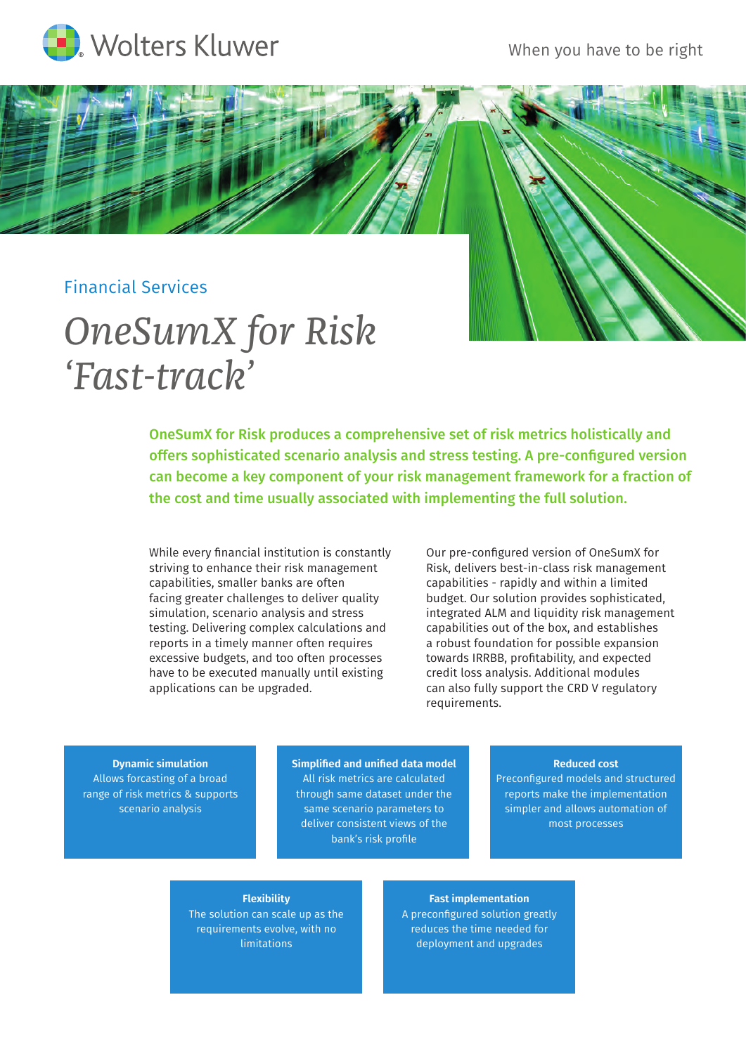

## Financial Services

# *OneSumX for Risk 'Fast-track'*

OneSumX for Risk produces a comprehensive set of risk metrics holistically and offers sophisticated scenario analysis and stress testing. A pre-configured version can become a key component of your risk management framework for a fraction of the cost and time usually associated with implementing the full solution.

While every financial institution is constantly striving to enhance their risk management capabilities, smaller banks are often facing greater challenges to deliver quality simulation, scenario analysis and stress testing. Delivering complex calculations and reports in a timely manner often requires excessive budgets, and too often processes have to be executed manually until existing applications can be upgraded.

Our pre-configured version of OneSumX for Risk, delivers best-in-class risk management capabilities - rapidly and within a limited budget. Our solution provides sophisticated, integrated ALM and liquidity risk management capabilities out of the box, and establishes a robust foundation for possible expansion towards IRRBB, profitability, and expected credit loss analysis. Additional modules can also fully support the CRD V regulatory requirements.

**Dynamic simulation** Allows forcasting of a broad range of risk metrics & supports scenario analysis

**Simplified and unified data model** All risk metrics are calculated through same dataset under the same scenario parameters to deliver consistent views of the bank's risk profile

#### **Reduced cost**

Preconfigured models and structured reports make the implementation simpler and allows automation of most processes

#### **Flexibility**

The solution can scale up as the requirements evolve, with no limitations

**Fast implementation** A preconfigured solution greatly reduces the time needed for deployment and upgrades